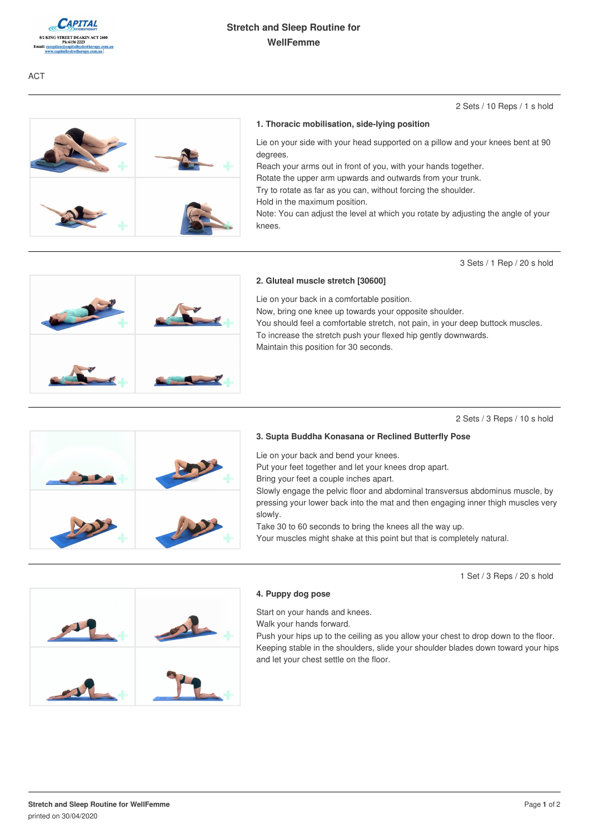

### 2 Sets / 10 Reps / 1 s hold

### **1. Thoracic mobilisation, side-lying position**

Lie on your side with your head supported on a pillow and your knees bent at 90 degrees.

Reach your arms out in front of you, with your hands together.

Rotate the upper arm upwards and outwards from your trunk.

Try to rotate as far as you can, without forcing the shoulder.

Hold in the maximum position.

Note: You can adjust the level at which you rotate by adjusting the angle of your knees.

3 Sets / 1 Rep / 20 s hold



#### **2. Gluteal muscle stretch [30600]**

Lie on your back in a comfortable position.

Now, bring one knee up towards your opposite shoulder.

You should feel a comfortable stretch, not pain, in your deep buttock muscles. To increase the stretch push your flexed hip gently downwards.

Maintain this position for 30 seconds.

#### 2 Sets / 3 Reps / 10 s hold



# **3. Supta Buddha Konasana or Reclined Butterfly Pose**

Lie on your back and bend your knees.

Put your feet together and let your knees drop apart.

Bring your feet a couple inches apart.

Slowly engage the pelvic floor and abdominal transversus abdominus muscle, by pressing your lower back into the mat and then engaging inner thigh muscles very slowly.

Take 30 to 60 seconds to bring the knees all the way up.

Your muscles might shake at this point but that is completely natural.

1 Set / 3 Reps / 20 s hold



#### **4. Puppy dog pose**

Start on your hands and knees.

Walk your hands forward.

Push your hips up to the ceiling as you allow your chest to drop down to the floor. Keeping stable in the shoulders, slide your shoulder blades down toward your hips and let your chest settle on the floor.